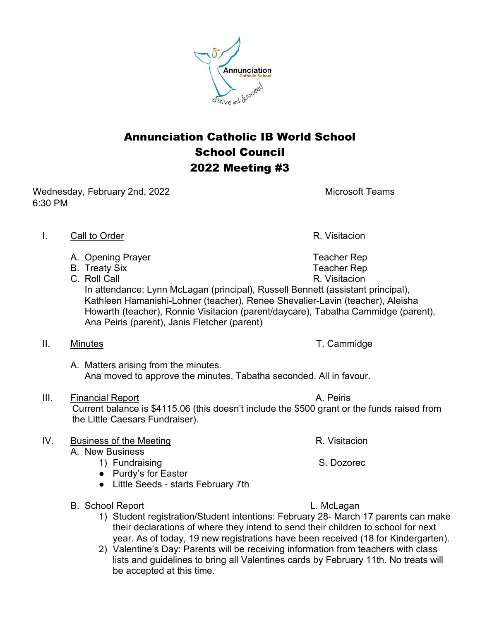Annunciation Catholic IB World School School Council 2022 Meeting #3

Wednesday, February 2nd, 2022 Microsoft Teams 6:30 PM

- I. Call to Order **R. Visitacion** 
	- A. Opening Prayer Teacher Represent A. Dentisiant Media and Teacher Rep
	- B. Treaty Six and the state of the state of the Teacher Rep
	- C. Roll Call R. Visitacion In attendance: Lynn McLagan (principal), Russell Bennett (assistant principal), Kathleen Hamanishi-Lohner (teacher), Renee Shevalier-Lavin (teacher), Aleisha Howarth (teacher), Ronnie Visitacion (parent/daycare), Tabatha Cammidge (parent), Ana Peiris (parent), Janis Fletcher (parent)
- II. Minutes **T. Cammidge** 
	- A. Matters arising from the minutes. Ana moved to approve the minutes, Tabatha seconded. All in favour.
- III. Financial Report **A. Peiris**

 Current balance is \$4115.06 (this doesn't include the \$500 grant or the funds raised from the Little Caesars Fundraiser).

## IV. Business of the Meeting R. Visitacion

- A. New Business
	- 1) Fundraising S. Dozorec
	- Purdy's for Easter
	- Little Seeds starts February 7th
- B. School Report L. McLagan
	- 1) Student registration/Student intentions: February 28- March 17 parents can make their declarations of where they intend to send their children to school for next year. As of today, 19 new registrations have been received (18 for Kindergarten).
	- 2) Valentine's Day: Parents will be receiving information from teachers with class lists and guidelines to bring all Valentines cards by February 11th. No treats will be accepted at this time.